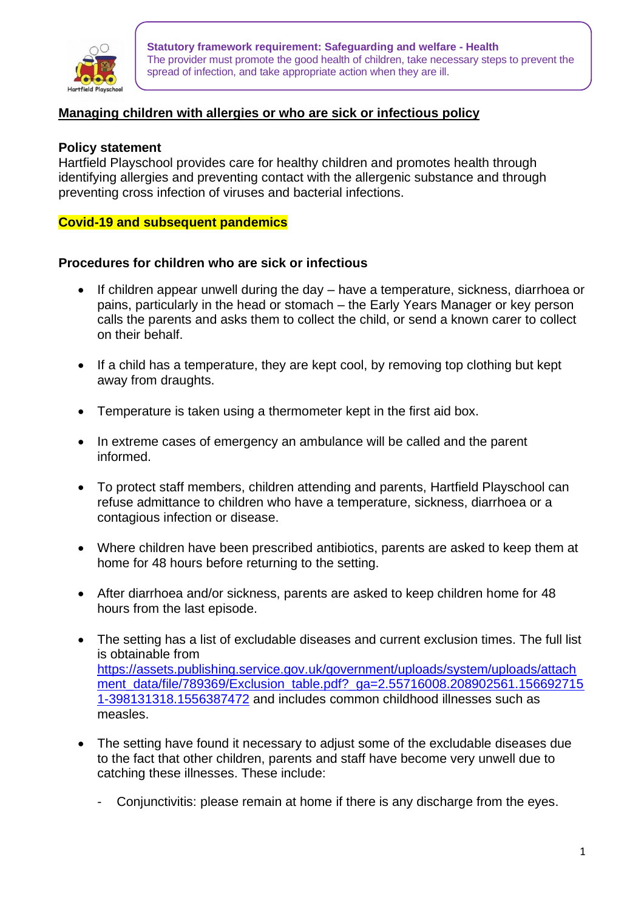

**Statutory framework requirement: Safeguarding and welfare - Health** The provider must promote the good health of children, take necessary steps to prevent the spread of infection, and take appropriate action when they are ill.

# **Managing children with allergies or who are sick or infectious policy**

### **Policy statement**

Hartfield Playschool provides care for healthy children and promotes health through identifying allergies and preventing contact with the allergenic substance and through preventing cross infection of viruses and bacterial infections.

### **Covid-19 and subsequent pandemics**

#### **Procedures for children who are sick or infectious**

- If children appear unwell during the day have a temperature, sickness, diarrhoea or pains, particularly in the head or stomach – the Early Years Manager or key person calls the parents and asks them to collect the child, or send a known carer to collect on their behalf.
- If a child has a temperature, they are kept cool, by removing top clothing but kept away from draughts.
- Temperature is taken using a thermometer kept in the first aid box.
- In extreme cases of emergency an ambulance will be called and the parent informed.
- To protect staff members, children attending and parents, Hartfield Playschool can refuse admittance to children who have a temperature, sickness, diarrhoea or a contagious infection or disease.
- Where children have been prescribed antibiotics, parents are asked to keep them at home for 48 hours before returning to the setting.
- After diarrhoea and/or sickness, parents are asked to keep children home for 48 hours from the last episode.
- The setting has a list of excludable diseases and current exclusion times. The full list is obtainable from [https://assets.publishing.service.gov.uk/government/uploads/system/uploads/attach](https://assets.publishing.service.gov.uk/government/uploads/system/uploads/attachment_data/file/789369/Exclusion_table.pdf?_ga=2.55716008.208902561.1566927151-398131318.1556387472) [ment\\_data/file/789369/Exclusion\\_table.pdf?\\_ga=2.55716008.208902561.156692715](https://assets.publishing.service.gov.uk/government/uploads/system/uploads/attachment_data/file/789369/Exclusion_table.pdf?_ga=2.55716008.208902561.1566927151-398131318.1556387472) [1-398131318.1556387472](https://assets.publishing.service.gov.uk/government/uploads/system/uploads/attachment_data/file/789369/Exclusion_table.pdf?_ga=2.55716008.208902561.1566927151-398131318.1556387472) and includes common childhood illnesses such as measles.
- The setting have found it necessary to adjust some of the excludable diseases due to the fact that other children, parents and staff have become very unwell due to catching these illnesses. These include:
	- Conjunctivitis: please remain at home if there is any discharge from the eyes.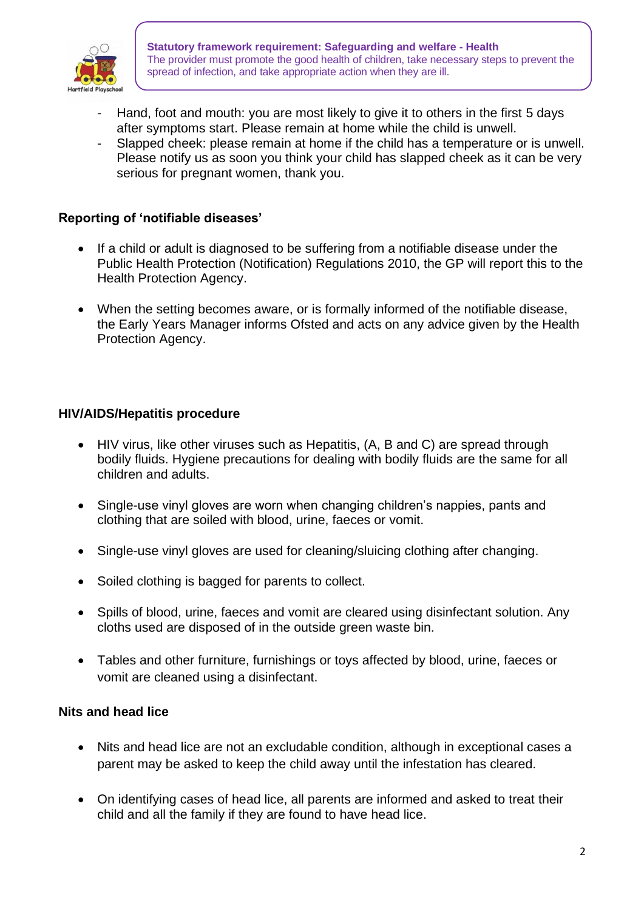

- Hand, foot and mouth: you are most likely to give it to others in the first 5 days after symptoms start. Please remain at home while the child is unwell.
- Slapped cheek: please remain at home if the child has a temperature or is unwell. Please notify us as soon you think your child has slapped cheek as it can be very serious for pregnant women, thank you.

## **Reporting of 'notifiable diseases'**

- If a child or adult is diagnosed to be suffering from a notifiable disease under the Public Health Protection (Notification) Regulations 2010, the GP will report this to the Health Protection Agency.
- When the setting becomes aware, or is formally informed of the notifiable disease, the Early Years Manager informs Ofsted and acts on any advice given by the Health Protection Agency.

## **HIV/AIDS/Hepatitis procedure**

- HIV virus, like other viruses such as Hepatitis, (A, B and C) are spread through bodily fluids. Hygiene precautions for dealing with bodily fluids are the same for all children and adults.
- Single-use vinyl gloves are worn when changing children's nappies, pants and clothing that are soiled with blood, urine, faeces or vomit.
- Single-use vinyl gloves are used for cleaning/sluicing clothing after changing.
- Soiled clothing is bagged for parents to collect.
- Spills of blood, urine, faeces and vomit are cleared using disinfectant solution. Any cloths used are disposed of in the outside green waste bin.
- Tables and other furniture, furnishings or toys affected by blood, urine, faeces or vomit are cleaned using a disinfectant.

### **Nits and head lice**

- Nits and head lice are not an excludable condition, although in exceptional cases a parent may be asked to keep the child away until the infestation has cleared.
- On identifying cases of head lice, all parents are informed and asked to treat their child and all the family if they are found to have head lice.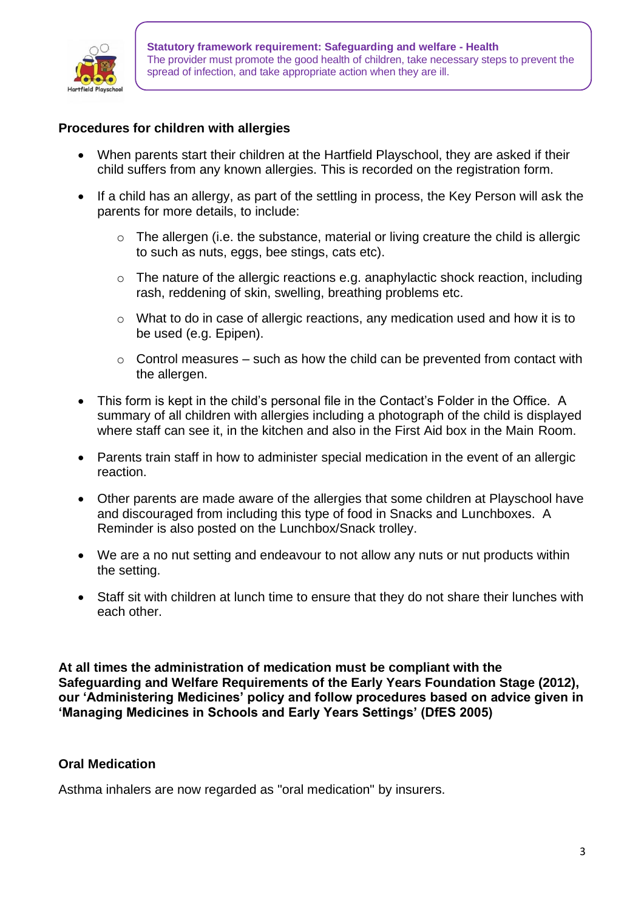

## **Procedures for children with allergies**

- When parents start their children at the Hartfield Playschool, they are asked if their child suffers from any known allergies. This is recorded on the registration form.
- If a child has an allergy, as part of the settling in process, the Key Person will ask the parents for more details, to include:
	- o The allergen (i.e. the substance, material or living creature the child is allergic to such as nuts, eggs, bee stings, cats etc).
	- o The nature of the allergic reactions e.g. anaphylactic shock reaction, including rash, reddening of skin, swelling, breathing problems etc.
	- $\circ$  What to do in case of allergic reactions, any medication used and how it is to be used (e.g. Epipen).
	- $\circ$  Control measures such as how the child can be prevented from contact with the allergen.
- This form is kept in the child's personal file in the Contact's Folder in the Office. A summary of all children with allergies including a photograph of the child is displayed where staff can see it, in the kitchen and also in the First Aid box in the Main Room.
- Parents train staff in how to administer special medication in the event of an allergic reaction.
- Other parents are made aware of the allergies that some children at Playschool have and discouraged from including this type of food in Snacks and Lunchboxes. A Reminder is also posted on the Lunchbox/Snack trolley.
- We are a no nut setting and endeavour to not allow any nuts or nut products within the setting.
- Staff sit with children at lunch time to ensure that they do not share their lunches with each other.

**At all times the administration of medication must be compliant with the Safeguarding and Welfare Requirements of the Early Years Foundation Stage (2012), our 'Administering Medicines' policy and follow procedures based on advice given in 'Managing Medicines in Schools and Early Years Settings' (DfES 2005)** 

## **Oral Medication**

Asthma inhalers are now regarded as "oral medication" by insurers.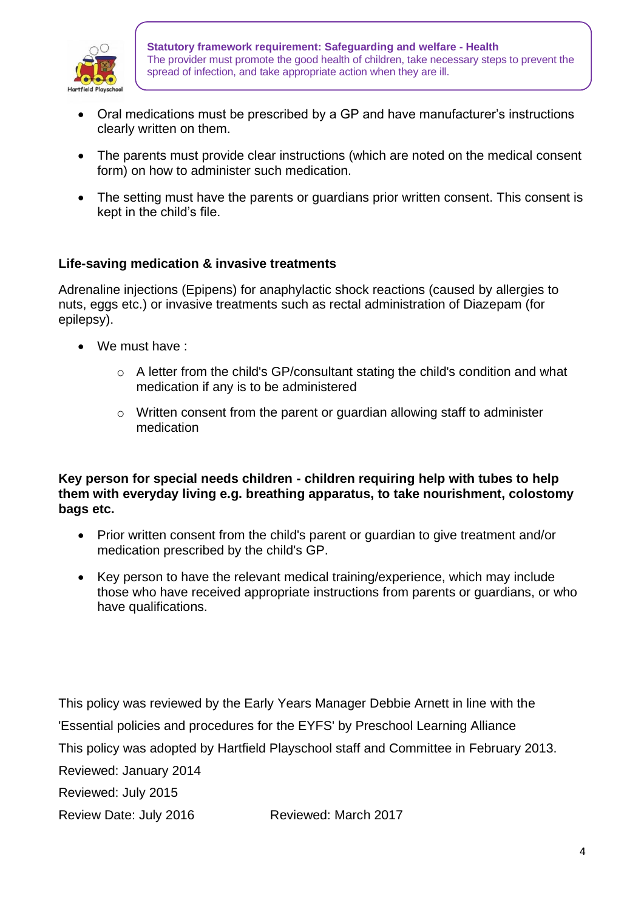

- Oral medications must be prescribed by a GP and have manufacturer's instructions clearly written on them.
- The parents must provide clear instructions (which are noted on the medical consent form) on how to administer such medication.
- The setting must have the parents or guardians prior written consent. This consent is kept in the child's file.

# **Life-saving medication & invasive treatments**

Adrenaline injections (Epipens) for anaphylactic shock reactions (caused by allergies to nuts, eggs etc.) or invasive treatments such as rectal administration of Diazepam (for epilepsy).

- We must have :
	- o A letter from the child's GP/consultant stating the child's condition and what medication if any is to be administered
	- $\circ$  Written consent from the parent or quardian allowing staff to administer medication

## **Key person for special needs children - children requiring help with tubes to help them with everyday living e.g. breathing apparatus, to take nourishment, colostomy bags etc.**

- Prior written consent from the child's parent or guardian to give treatment and/or medication prescribed by the child's GP.
- Key person to have the relevant medical training/experience, which may include those who have received appropriate instructions from parents or guardians, or who have qualifications.

This policy was reviewed by the Early Years Manager Debbie Arnett in line with the 'Essential policies and procedures for the EYFS' by Preschool Learning Alliance This policy was adopted by Hartfield Playschool staff and Committee in February 2013. Reviewed: January 2014

Reviewed: July 2015

Review Date: July 2016 Reviewed: March 2017